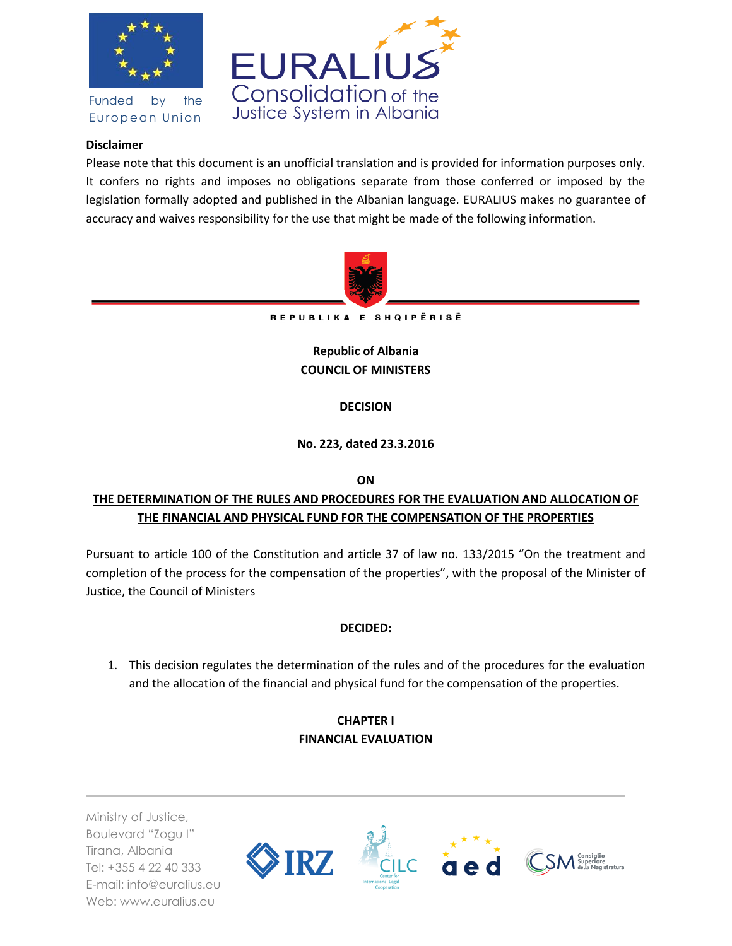

Funded by the European Union



## **Disclaimer**

Please note that this document is an unofficial translation and is provided for information purposes only. It confers no rights and imposes no obligations separate from those conferred or imposed by the legislation formally adopted and published in the Albanian language. EURALIUS makes no guarantee of accuracy and waives responsibility for the use that might be made of the following information.



REPUBLIKA E SHQIPËRISË

**Republic of Albania COUNCIL OF MINISTERS**

## **DECISION**

## **No. 223, dated 23.3.2016**

**ON** 

# **THE DETERMINATION OF THE RULES AND PROCEDURES FOR THE EVALUATION AND ALLOCATION OF THE FINANCIAL AND PHYSICAL FUND FOR THE COMPENSATION OF THE PROPERTIES**

Pursuant to article 100 of the Constitution and article 37 of law no. 133/2015 "On the treatment and completion of the process for the compensation of the properties", with the proposal of the Minister of Justice, the Council of Ministers

## **DECIDED:**

1. This decision regulates the determination of the rules and of the procedures for the evaluation and the allocation of the financial and physical fund for the compensation of the properties.

# **CHAPTER I FINANCIAL EVALUATION**

Ministry of Justice, Boulevard "Zogu I" Tirana, Albania Tel: +355 4 22 40 333 E-mail: info@euralius.eu Web: www.euralius.eu

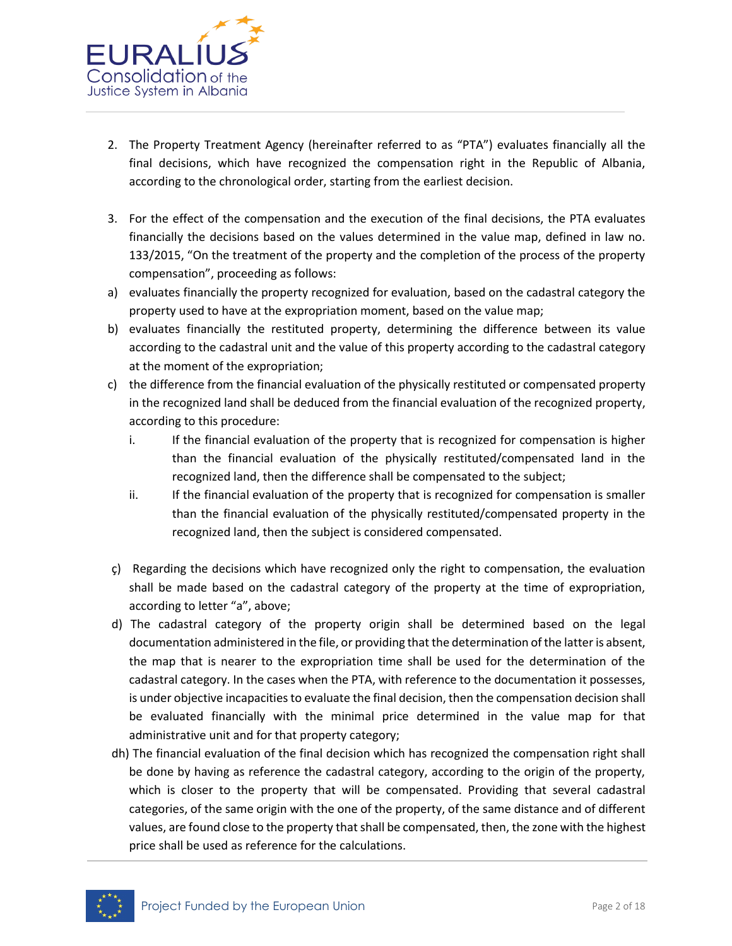

- 2. The Property Treatment Agency (hereinafter referred to as "PTA") evaluates financially all the final decisions, which have recognized the compensation right in the Republic of Albania, according to the chronological order, starting from the earliest decision.
- 3. For the effect of the compensation and the execution of the final decisions, the PTA evaluates financially the decisions based on the values determined in the value map, defined in law no. 133/2015, "On the treatment of the property and the completion of the process of the property compensation", proceeding as follows:
- a) evaluates financially the property recognized for evaluation, based on the cadastral category the property used to have at the expropriation moment, based on the value map;
- b) evaluates financially the restituted property, determining the difference between its value according to the cadastral unit and the value of this property according to the cadastral category at the moment of the expropriation;
- c) the difference from the financial evaluation of the physically restituted or compensated property in the recognized land shall be deduced from the financial evaluation of the recognized property, according to this procedure:
	- i. If the financial evaluation of the property that is recognized for compensation is higher than the financial evaluation of the physically restituted/compensated land in the recognized land, then the difference shall be compensated to the subject;
	- ii. If the financial evaluation of the property that is recognized for compensation is smaller than the financial evaluation of the physically restituted/compensated property in the recognized land, then the subject is considered compensated.
- ç) Regarding the decisions which have recognized only the right to compensation, the evaluation shall be made based on the cadastral category of the property at the time of expropriation, according to letter "a", above;
- d) The cadastral category of the property origin shall be determined based on the legal documentation administered in the file, or providing that the determination of the latter is absent, the map that is nearer to the expropriation time shall be used for the determination of the cadastral category. In the cases when the PTA, with reference to the documentation it possesses, is under objective incapacities to evaluate the final decision, then the compensation decision shall be evaluated financially with the minimal price determined in the value map for that administrative unit and for that property category;
- dh) The financial evaluation of the final decision which has recognized the compensation right shall be done by having as reference the cadastral category, according to the origin of the property, which is closer to the property that will be compensated. Providing that several cadastral categories, of the same origin with the one of the property, of the same distance and of different values, are found close to the property that shall be compensated, then, the zone with the highest price shall be used as reference for the calculations.

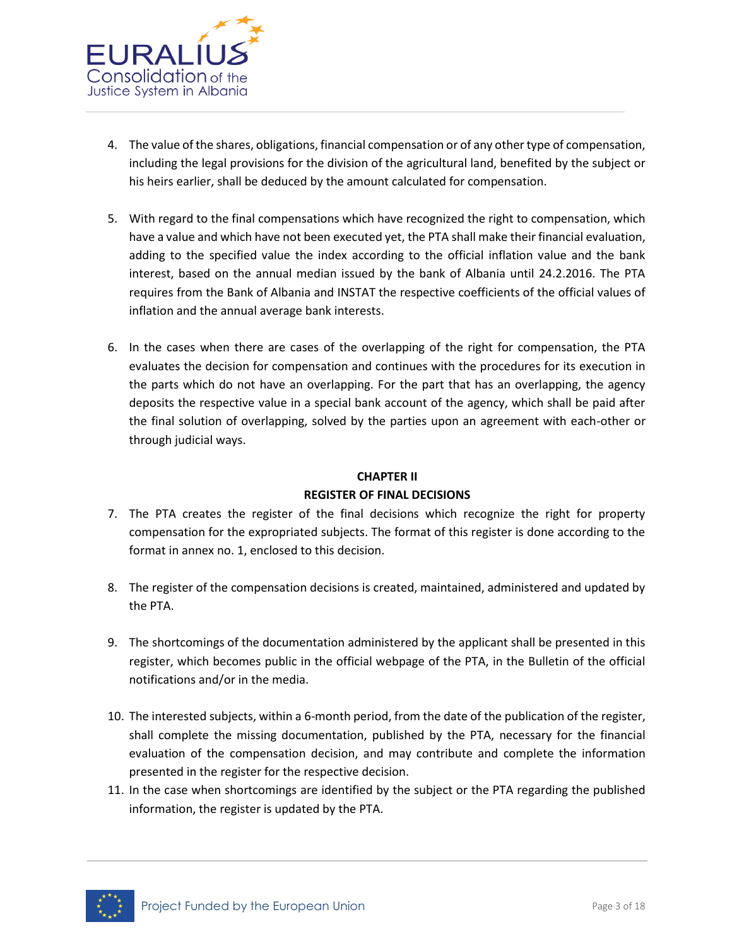

- 4. The value of the shares, obligations, financial compensation or of any other type of compensation, including the legal provisions for the division of the agricultural land, benefited by the subject or his heirs earlier, shall be deduced by the amount calculated for compensation.
- 5. With regard to the final compensations which have recognized the right to compensation, which have a value and which have not been executed yet, the PTA shall make their financial evaluation, adding to the specified value the index according to the official inflation value and the bank interest, based on the annual median issued by the bank of Albania until 24.2.2016. The PTA requires from the Bank of Albania and INSTAT the respective coefficients of the official values of inflation and the annual average bank interests.
- 6. In the cases when there are cases of the overlapping of the right for compensation, the PTA evaluates the decision for compensation and continues with the procedures for its execution in the parts which do not have an overlapping. For the part that has an overlapping, the agency deposits the respective value in a special bank account of the agency, which shall be paid after the final solution of overlapping, solved by the parties upon an agreement with each-other or through judicial ways.

# **CHAPTER II REGISTER OF FINAL DECISIONS**

- 7. The PTA creates the register of the final decisions which recognize the right for property compensation for the expropriated subjects. The format of this register is done according to the format in annex no. 1, enclosed to this decision.
- 8. The register of the compensation decisions is created, maintained, administered and updated by the PTA.
- 9. The shortcomings of the documentation administered by the applicant shall be presented in this register, which becomes public in the official webpage of the PTA, in the Bulletin of the official notifications and/or in the media.
- 10. The interested subjects, within a 6-month period, from the date of the publication of the register, shall complete the missing documentation, published by the PTA, necessary for the financial evaluation of the compensation decision, and may contribute and complete the information presented in the register for the respective decision.
- 11. In the case when shortcomings are identified by the subject or the PTA regarding the published information, the register is updated by the PTA.

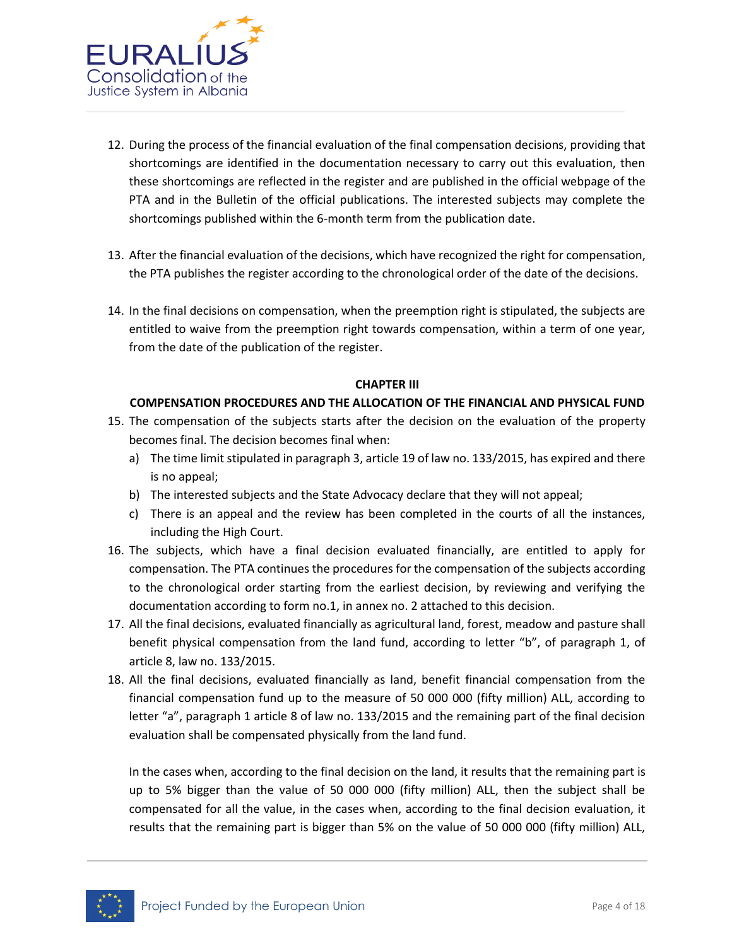

- 12. During the process of the financial evaluation of the final compensation decisions, providing that shortcomings are identified in the documentation necessary to carry out this evaluation, then these shortcomings are reflected in the register and are published in the official webpage of the PTA and in the Bulletin of the official publications. The interested subjects may complete the shortcomings published within the 6-month term from the publication date.
- 13. After the financial evaluation of the decisions, which have recognized the right for compensation, the PTA publishes the register according to the chronological order of the date of the decisions.
- 14. In the final decisions on compensation, when the preemption right is stipulated, the subjects are entitled to waive from the preemption right towards compensation, within a term of one year, from the date of the publication of the register.

#### **CHAPTER III**

### **COMPENSATION PROCEDURES AND THE ALLOCATION OF THE FINANCIAL AND PHYSICAL FUND**

- 15. The compensation of the subjects starts after the decision on the evaluation of the property becomes final. The decision becomes final when:
	- a) The time limit stipulated in paragraph 3, article 19 of law no. 133/2015, has expired and there is no appeal;
	- b) The interested subjects and the State Advocacy declare that they will not appeal;
	- c) There is an appeal and the review has been completed in the courts of all the instances, including the High Court.
- 16. The subjects, which have a final decision evaluated financially, are entitled to apply for compensation. The PTA continues the procedures for the compensation of the subjects according to the chronological order starting from the earliest decision, by reviewing and verifying the documentation according to form no.1, in annex no. 2 attached to this decision.
- 17. All the final decisions, evaluated financially as agricultural land, forest, meadow and pasture shall benefit physical compensation from the land fund, according to letter "b", of paragraph 1, of article 8, law no. 133/2015.
- 18. All the final decisions, evaluated financially as land, benefit financial compensation from the financial compensation fund up to the measure of 50 000 000 (fifty million) ALL, according to letter "a", paragraph 1 article 8 of law no. 133/2015 and the remaining part of the final decision evaluation shall be compensated physically from the land fund.

In the cases when, according to the final decision on the land, it results that the remaining part is up to 5% bigger than the value of 50 000 000 (fifty million) ALL, then the subject shall be compensated for all the value, in the cases when, according to the final decision evaluation, it results that the remaining part is bigger than 5% on the value of 50 000 000 (fifty million) ALL,

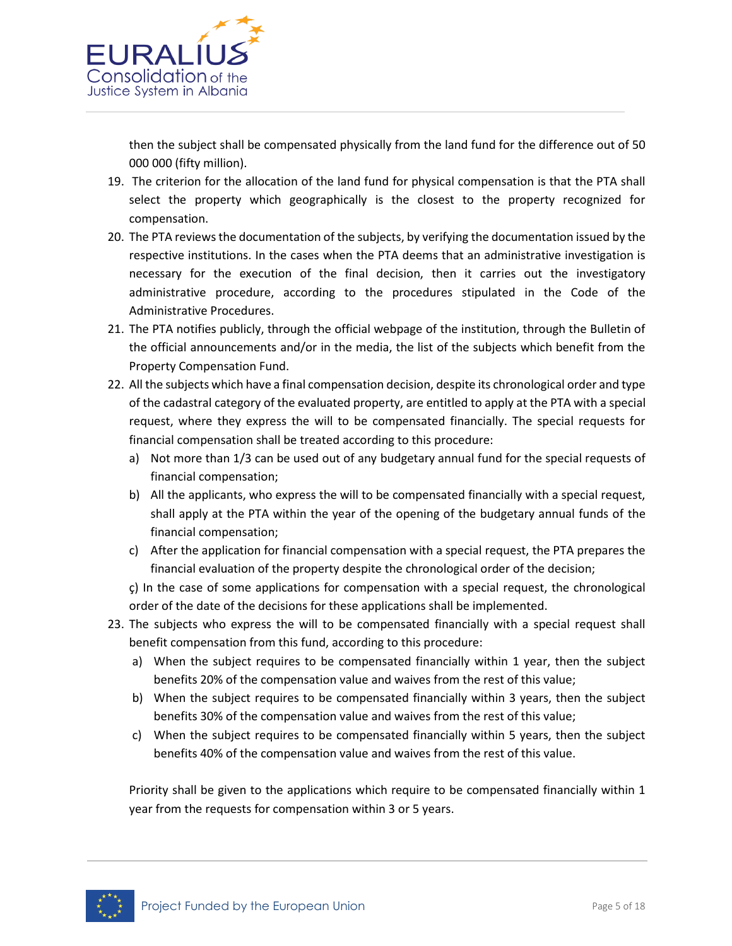

then the subject shall be compensated physically from the land fund for the difference out of 50 000 000 (fifty million).

- 19. The criterion for the allocation of the land fund for physical compensation is that the PTA shall select the property which geographically is the closest to the property recognized for compensation.
- 20. The PTA reviews the documentation of the subjects, by verifying the documentation issued by the respective institutions. In the cases when the PTA deems that an administrative investigation is necessary for the execution of the final decision, then it carries out the investigatory administrative procedure, according to the procedures stipulated in the Code of the Administrative Procedures.
- 21. The PTA notifies publicly, through the official webpage of the institution, through the Bulletin of the official announcements and/or in the media, the list of the subjects which benefit from the Property Compensation Fund.
- 22. All the subjects which have a final compensation decision, despite its chronological order and type of the cadastral category of the evaluated property, are entitled to apply at the PTA with a special request, where they express the will to be compensated financially. The special requests for financial compensation shall be treated according to this procedure:
	- a) Not more than 1/3 can be used out of any budgetary annual fund for the special requests of financial compensation;
	- b) All the applicants, who express the will to be compensated financially with a special request, shall apply at the PTA within the year of the opening of the budgetary annual funds of the financial compensation;
	- c) After the application for financial compensation with a special request, the PTA prepares the financial evaluation of the property despite the chronological order of the decision;
	- ç) In the case of some applications for compensation with a special request, the chronological order of the date of the decisions for these applications shall be implemented.
- 23. The subjects who express the will to be compensated financially with a special request shall benefit compensation from this fund, according to this procedure:
	- a) When the subject requires to be compensated financially within 1 year, then the subject benefits 20% of the compensation value and waives from the rest of this value;
	- b) When the subject requires to be compensated financially within 3 years, then the subject benefits 30% of the compensation value and waives from the rest of this value;
	- c) When the subject requires to be compensated financially within 5 years, then the subject benefits 40% of the compensation value and waives from the rest of this value.

Priority shall be given to the applications which require to be compensated financially within 1 year from the requests for compensation within 3 or 5 years.

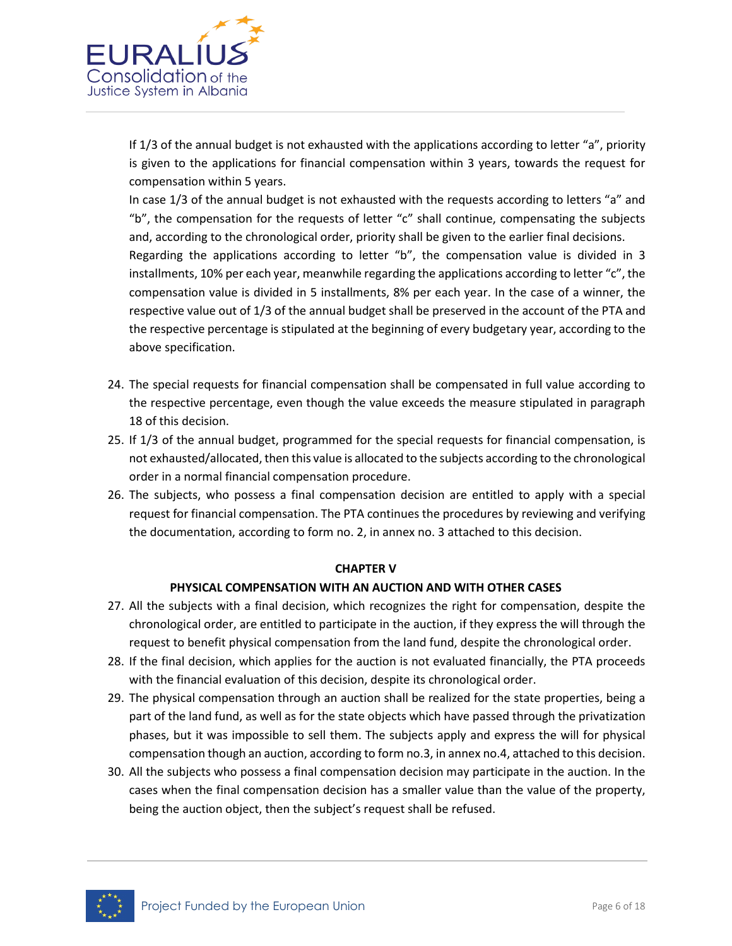

If 1/3 of the annual budget is not exhausted with the applications according to letter "a", priority is given to the applications for financial compensation within 3 years, towards the request for compensation within 5 years.

In case 1/3 of the annual budget is not exhausted with the requests according to letters "a" and "b", the compensation for the requests of letter "c" shall continue, compensating the subjects and, according to the chronological order, priority shall be given to the earlier final decisions.

Regarding the applications according to letter "b", the compensation value is divided in 3 installments, 10% per each year, meanwhile regarding the applications according to letter "c", the compensation value is divided in 5 installments, 8% per each year. In the case of a winner, the respective value out of 1/3 of the annual budget shall be preserved in the account of the PTA and the respective percentage is stipulated at the beginning of every budgetary year, according to the above specification.

- 24. The special requests for financial compensation shall be compensated in full value according to the respective percentage, even though the value exceeds the measure stipulated in paragraph 18 of this decision.
- 25. If 1/3 of the annual budget, programmed for the special requests for financial compensation, is not exhausted/allocated, then this value is allocated to the subjects according to the chronological order in a normal financial compensation procedure.
- 26. The subjects, who possess a final compensation decision are entitled to apply with a special request for financial compensation. The PTA continues the procedures by reviewing and verifying the documentation, according to form no. 2, in annex no. 3 attached to this decision.

### **CHAPTER V**

## **PHYSICAL COMPENSATION WITH AN AUCTION AND WITH OTHER CASES**

- 27. All the subjects with a final decision, which recognizes the right for compensation, despite the chronological order, are entitled to participate in the auction, if they express the will through the request to benefit physical compensation from the land fund, despite the chronological order.
- 28. If the final decision, which applies for the auction is not evaluated financially, the PTA proceeds with the financial evaluation of this decision, despite its chronological order.
- 29. The physical compensation through an auction shall be realized for the state properties, being a part of the land fund, as well as for the state objects which have passed through the privatization phases, but it was impossible to sell them. The subjects apply and express the will for physical compensation though an auction, according to form no.3, in annex no.4, attached to this decision.
- 30. All the subjects who possess a final compensation decision may participate in the auction. In the cases when the final compensation decision has a smaller value than the value of the property, being the auction object, then the subject's request shall be refused.

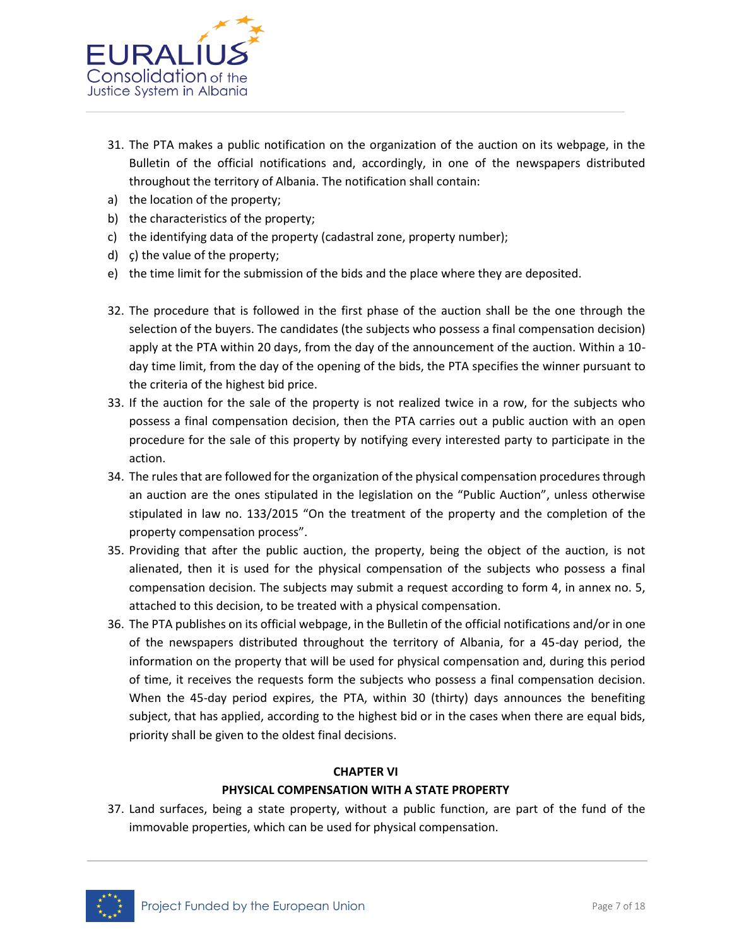

- 31. The PTA makes a public notification on the organization of the auction on its webpage, in the Bulletin of the official notifications and, accordingly, in one of the newspapers distributed throughout the territory of Albania. The notification shall contain:
- a) the location of the property;
- b) the characteristics of the property;
- c) the identifying data of the property (cadastral zone, property number);
- d) ç) the value of the property;
- e) the time limit for the submission of the bids and the place where they are deposited.
- 32. The procedure that is followed in the first phase of the auction shall be the one through the selection of the buyers. The candidates (the subjects who possess a final compensation decision) apply at the PTA within 20 days, from the day of the announcement of the auction. Within a 10 day time limit, from the day of the opening of the bids, the PTA specifies the winner pursuant to the criteria of the highest bid price.
- 33. If the auction for the sale of the property is not realized twice in a row, for the subjects who possess a final compensation decision, then the PTA carries out a public auction with an open procedure for the sale of this property by notifying every interested party to participate in the action.
- 34. The rules that are followed for the organization of the physical compensation procedures through an auction are the ones stipulated in the legislation on the "Public Auction", unless otherwise stipulated in law no. 133/2015 "On the treatment of the property and the completion of the property compensation process".
- 35. Providing that after the public auction, the property, being the object of the auction, is not alienated, then it is used for the physical compensation of the subjects who possess a final compensation decision. The subjects may submit a request according to form 4, in annex no. 5, attached to this decision, to be treated with a physical compensation.
- 36. The PTA publishes on its official webpage, in the Bulletin of the official notifications and/or in one of the newspapers distributed throughout the territory of Albania, for a 45-day period, the information on the property that will be used for physical compensation and, during this period of time, it receives the requests form the subjects who possess a final compensation decision. When the 45-day period expires, the PTA, within 30 (thirty) days announces the benefiting subject, that has applied, according to the highest bid or in the cases when there are equal bids, priority shall be given to the oldest final decisions.

### **CHAPTER VI**

### **PHYSICAL COMPENSATION WITH A STATE PROPERTY**

37. Land surfaces, being a state property, without a public function, are part of the fund of the immovable properties, which can be used for physical compensation.

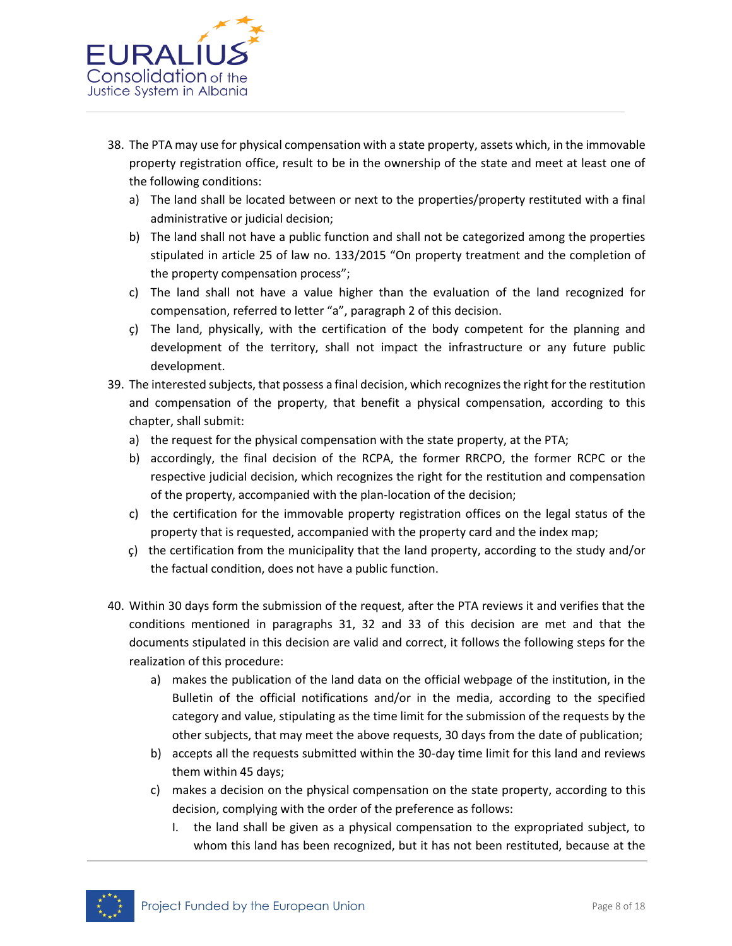

- 38. The PTA may use for physical compensation with a state property, assets which, in the immovable property registration office, result to be in the ownership of the state and meet at least one of the following conditions:
	- a) The land shall be located between or next to the properties/property restituted with a final administrative or judicial decision;
	- b) The land shall not have a public function and shall not be categorized among the properties stipulated in article 25 of law no. 133/2015 "On property treatment and the completion of the property compensation process";
	- c) The land shall not have a value higher than the evaluation of the land recognized for compensation, referred to letter "a", paragraph 2 of this decision.
	- ç) The land, physically, with the certification of the body competent for the planning and development of the territory, shall not impact the infrastructure or any future public development.
- 39. The interested subjects, that possess a final decision, which recognizes the right for the restitution and compensation of the property, that benefit a physical compensation, according to this chapter, shall submit:
	- a) the request for the physical compensation with the state property, at the PTA;
	- b) accordingly, the final decision of the RCPA, the former RRCPO, the former RCPC or the respective judicial decision, which recognizes the right for the restitution and compensation of the property, accompanied with the plan-location of the decision;
	- c) the certification for the immovable property registration offices on the legal status of the property that is requested, accompanied with the property card and the index map;
	- ç) the certification from the municipality that the land property, according to the study and/or the factual condition, does not have a public function.
- 40. Within 30 days form the submission of the request, after the PTA reviews it and verifies that the conditions mentioned in paragraphs 31, 32 and 33 of this decision are met and that the documents stipulated in this decision are valid and correct, it follows the following steps for the realization of this procedure:
	- a) makes the publication of the land data on the official webpage of the institution, in the Bulletin of the official notifications and/or in the media, according to the specified category and value, stipulating as the time limit for the submission of the requests by the other subjects, that may meet the above requests, 30 days from the date of publication;
	- b) accepts all the requests submitted within the 30-day time limit for this land and reviews them within 45 days;
	- c) makes a decision on the physical compensation on the state property, according to this decision, complying with the order of the preference as follows:
		- I. the land shall be given as a physical compensation to the expropriated subject, to whom this land has been recognized, but it has not been restituted, because at the

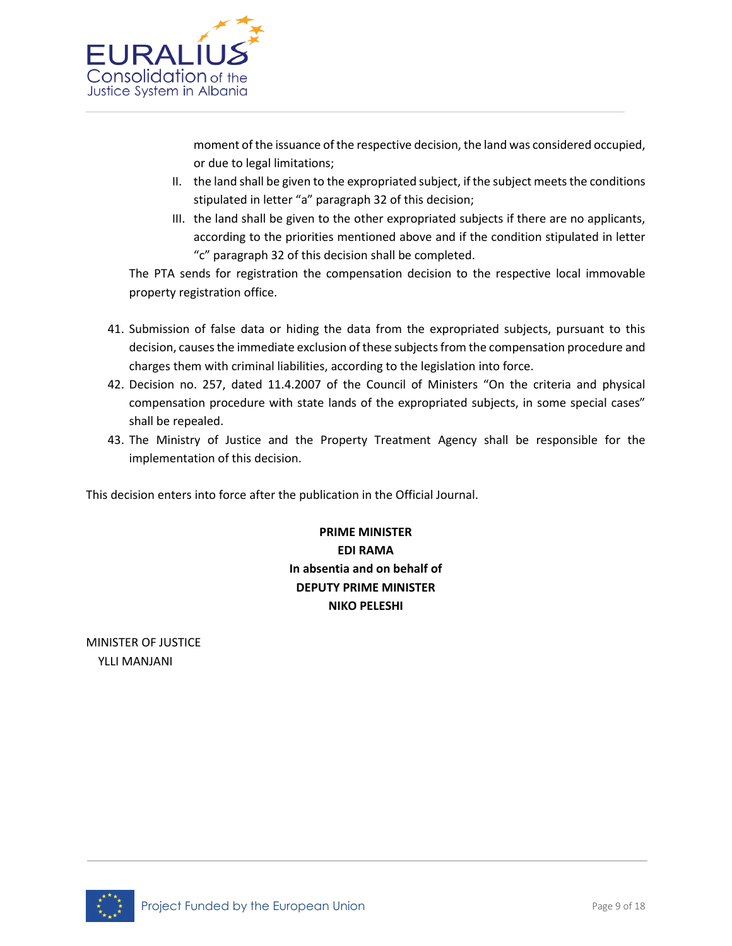

moment of the issuance of the respective decision, the land was considered occupied, or due to legal limitations;

- II. the land shall be given to the expropriated subject, if the subject meets the conditions stipulated in letter "a" paragraph 32 of this decision;
- III. the land shall be given to the other expropriated subjects if there are no applicants, according to the priorities mentioned above and if the condition stipulated in letter "c" paragraph 32 of this decision shall be completed.

The PTA sends for registration the compensation decision to the respective local immovable property registration office.

- 41. Submission of false data or hiding the data from the expropriated subjects, pursuant to this decision, causes the immediate exclusion of these subjects from the compensation procedure and charges them with criminal liabilities, according to the legislation into force.
- 42. Decision no. 257, dated 11.4.2007 of the Council of Ministers "On the criteria and physical compensation procedure with state lands of the expropriated subjects, in some special cases" shall be repealed.
- 43. The Ministry of Justice and the Property Treatment Agency shall be responsible for the implementation of this decision.

This decision enters into force after the publication in the Official Journal.

**PRIME MINISTER EDI RAMA In absentia and on behalf of DEPUTY PRIME MINISTER NIKO PELESHI**

MINISTER OF JUSTICE YLLI MANJANI

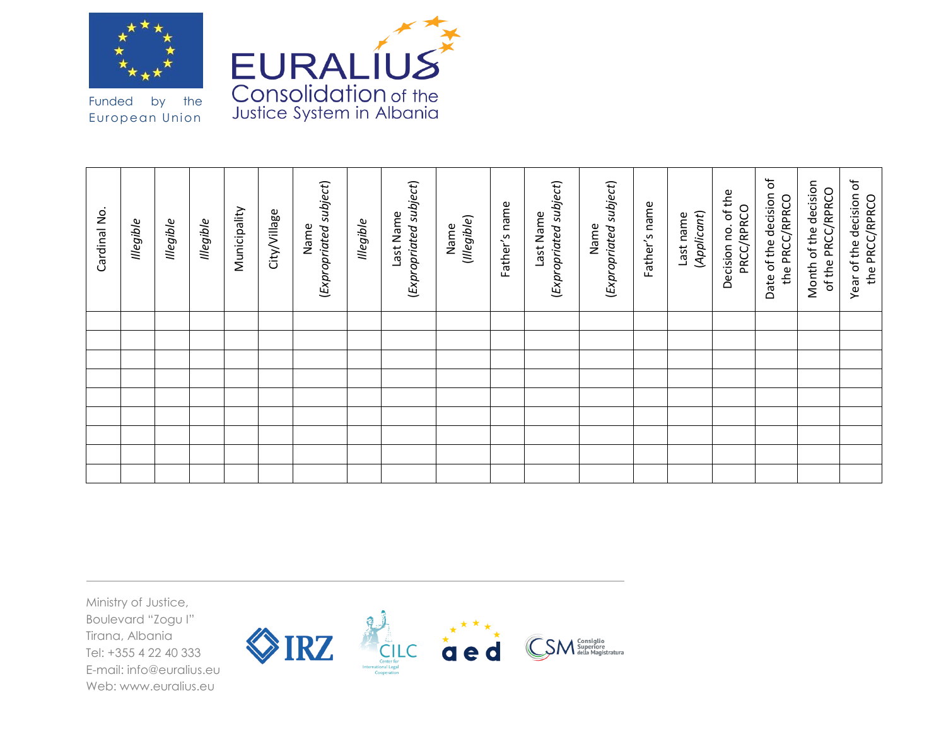



Funded by the European Union

| Cardinal No. | llegible | <b>Illegible</b> | llegible | Municipality | City/Village | (Expropriated subject)<br>Name | <b>Illegible</b> | (Expropriated subject)<br>Last Name | (Illegible)<br>Name | Father's name | (Expropriated subject)<br>Last Name | (Expropriated subject)<br>Name | Father's name | (Applicant)<br>Last name | Decision no. of the<br>PRCC/RPRCO | Ⴆ<br>Date of the decision<br>the PRCC/RPRCO | Month of the decision<br>of the PRCC/RPRCO | Year of the decision of<br>the PRCC/RPRCO |
|--------------|----------|------------------|----------|--------------|--------------|--------------------------------|------------------|-------------------------------------|---------------------|---------------|-------------------------------------|--------------------------------|---------------|--------------------------|-----------------------------------|---------------------------------------------|--------------------------------------------|-------------------------------------------|
|              |          |                  |          |              |              |                                |                  |                                     |                     |               |                                     |                                |               |                          |                                   |                                             |                                            |                                           |
|              |          |                  |          |              |              |                                |                  |                                     |                     |               |                                     |                                |               |                          |                                   |                                             |                                            |                                           |
|              |          |                  |          |              |              |                                |                  |                                     |                     |               |                                     |                                |               |                          |                                   |                                             |                                            |                                           |
|              |          |                  |          |              |              |                                |                  |                                     |                     |               |                                     |                                |               |                          |                                   |                                             |                                            |                                           |
|              |          |                  |          |              |              |                                |                  |                                     |                     |               |                                     |                                |               |                          |                                   |                                             |                                            |                                           |
|              |          |                  |          |              |              |                                |                  |                                     |                     |               |                                     |                                |               |                          |                                   |                                             |                                            |                                           |
|              |          |                  |          |              |              |                                |                  |                                     |                     |               |                                     |                                |               |                          |                                   |                                             |                                            |                                           |
|              |          |                  |          |              |              |                                |                  |                                     |                     |               |                                     |                                |               |                          |                                   |                                             |                                            |                                           |
|              |          |                  |          |              |              |                                |                  |                                     |                     |               |                                     |                                |               |                          |                                   |                                             |                                            |                                           |

Ministry of Justice, Boulevard "Zogu I" Tirana, Albania Tel: +355 4 22 40 333 E-mail: info@euralius.eu Web: www.euralius.eu

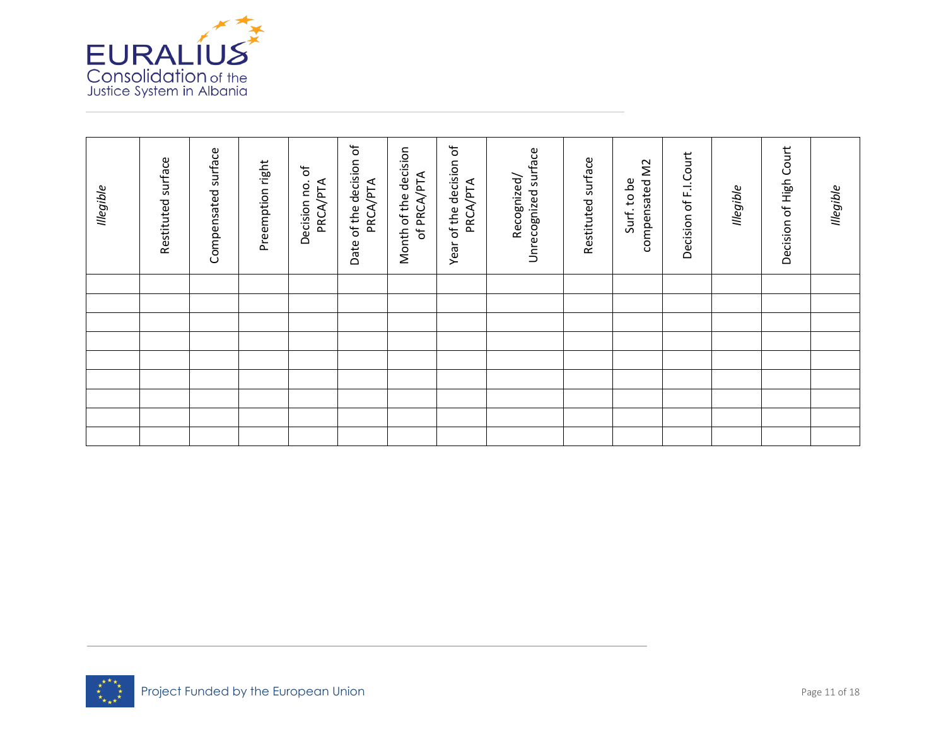

| llegible | Restituted surface | Compensated surface | Preemption right | $\sigma$<br>Decision no.<br>PRCA/PTA | Date of the decision of<br>PRCA/PTA | Month of the decision<br>of PRCA/PTA | Year of the decision of<br>PRCA/PTA | Unrecognized surface<br>Recognized/ | Restituted surface | compensated M2<br>Surf. to be | Decision of F.I.Court | <b>Illegible</b> | Decision of High Court | <b>Illegible</b> |
|----------|--------------------|---------------------|------------------|--------------------------------------|-------------------------------------|--------------------------------------|-------------------------------------|-------------------------------------|--------------------|-------------------------------|-----------------------|------------------|------------------------|------------------|
|          |                    |                     |                  |                                      |                                     |                                      |                                     |                                     |                    |                               |                       |                  |                        |                  |
|          |                    |                     |                  |                                      |                                     |                                      |                                     |                                     |                    |                               |                       |                  |                        |                  |
|          |                    |                     |                  |                                      |                                     |                                      |                                     |                                     |                    |                               |                       |                  |                        |                  |
|          |                    |                     |                  |                                      |                                     |                                      |                                     |                                     |                    |                               |                       |                  |                        |                  |
|          |                    |                     |                  |                                      |                                     |                                      |                                     |                                     |                    |                               |                       |                  |                        |                  |
|          |                    |                     |                  |                                      |                                     |                                      |                                     |                                     |                    |                               |                       |                  |                        |                  |
|          |                    |                     |                  |                                      |                                     |                                      |                                     |                                     |                    |                               |                       |                  |                        |                  |
|          |                    |                     |                  |                                      |                                     |                                      |                                     |                                     |                    |                               |                       |                  |                        |                  |
|          |                    |                     |                  |                                      |                                     |                                      |                                     |                                     |                    |                               |                       |                  |                        |                  |

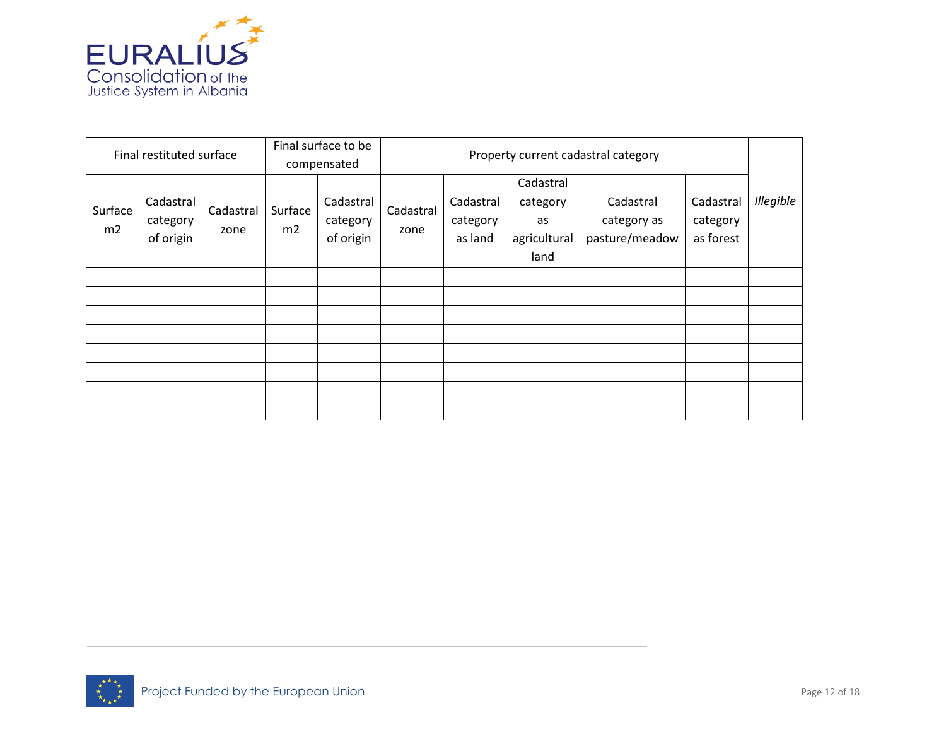

|               | Final restituted surface           |                   |               | Final surface to be<br>compensated | Property current cadastral category |                                  |                                                     |                                            |                                    |           |  |  |
|---------------|------------------------------------|-------------------|---------------|------------------------------------|-------------------------------------|----------------------------------|-----------------------------------------------------|--------------------------------------------|------------------------------------|-----------|--|--|
| Surface<br>m2 | Cadastral<br>category<br>of origin | Cadastral<br>zone | Surface<br>m2 | Cadastral<br>category<br>of origin | Cadastral<br>zone                   | Cadastral<br>category<br>as land | Cadastral<br>category<br>as<br>agricultural<br>land | Cadastral<br>category as<br>pasture/meadow | Cadastral<br>category<br>as forest | Illegible |  |  |
|               |                                    |                   |               |                                    |                                     |                                  |                                                     |                                            |                                    |           |  |  |
|               |                                    |                   |               |                                    |                                     |                                  |                                                     |                                            |                                    |           |  |  |
|               |                                    |                   |               |                                    |                                     |                                  |                                                     |                                            |                                    |           |  |  |
|               |                                    |                   |               |                                    |                                     |                                  |                                                     |                                            |                                    |           |  |  |
|               |                                    |                   |               |                                    |                                     |                                  |                                                     |                                            |                                    |           |  |  |
|               |                                    |                   |               |                                    |                                     |                                  |                                                     |                                            |                                    |           |  |  |
|               |                                    |                   |               |                                    |                                     |                                  |                                                     |                                            |                                    |           |  |  |
|               |                                    |                   |               |                                    |                                     |                                  |                                                     |                                            |                                    |           |  |  |

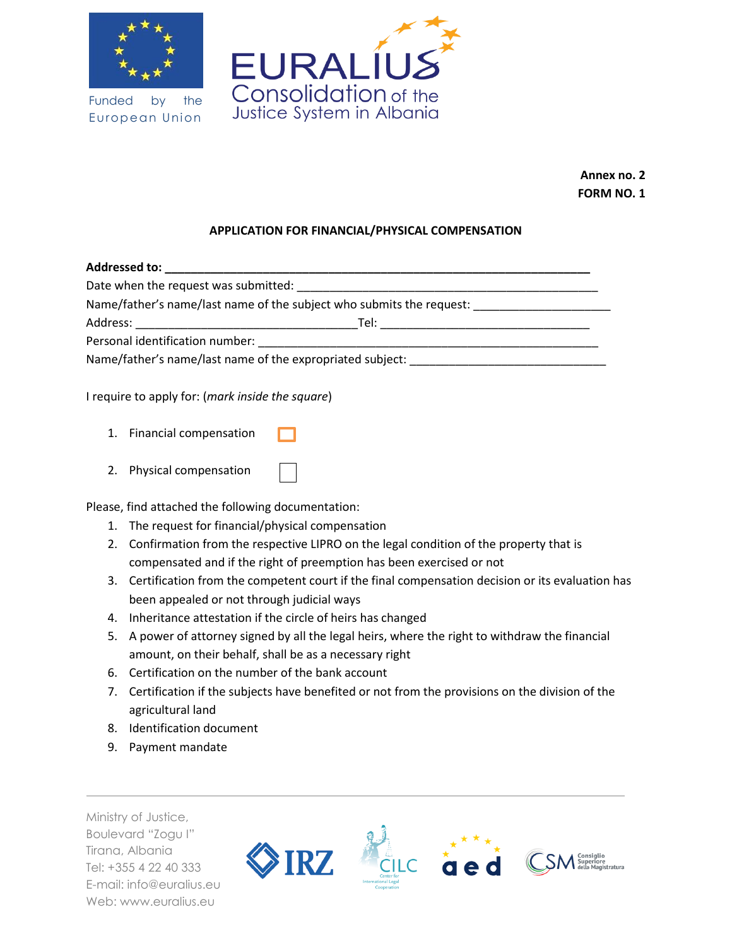

Funded by the European Union



**Annex no. 2 FORM NO. 1**

## **APPLICATION FOR FINANCIAL/PHYSICAL COMPENSATION**

| Date when the request was submitted: Date when the request was submitted:        |  |
|----------------------------------------------------------------------------------|--|
| Name/father's name/last name of the subject who submits the request:             |  |
| Tel:<br><u> 1980 - John Stone, Amerikaansk politiker (</u>                       |  |
|                                                                                  |  |
| Name/father's name/last name of the expropriated subject: ______________________ |  |
|                                                                                  |  |

I require to apply for: (*mark inside the square*)

- 1. Financial compensation
- 2. Physical compensation

Please, find attached the following documentation:

- 1. The request for financial/physical compensation
- 2. Confirmation from the respective LIPRO on the legal condition of the property that is compensated and if the right of preemption has been exercised or not
- 3. Certification from the competent court if the final compensation decision or its evaluation has been appealed or not through judicial ways
- 4. Inheritance attestation if the circle of heirs has changed
- 5. A power of attorney signed by all the legal heirs, where the right to withdraw the financial amount, on their behalf, shall be as a necessary right
- 6. Certification on the number of the bank account
- 7. Certification if the subjects have benefited or not from the provisions on the division of the agricultural land
- 8. Identification document
- 9. Payment mandate

Ministry of Justice, Boulevard "Zogu I" Tirana, Albania Tel: +355 4 22 40 333 E-mail: info@euralius.eu Web: www.euralius.eu

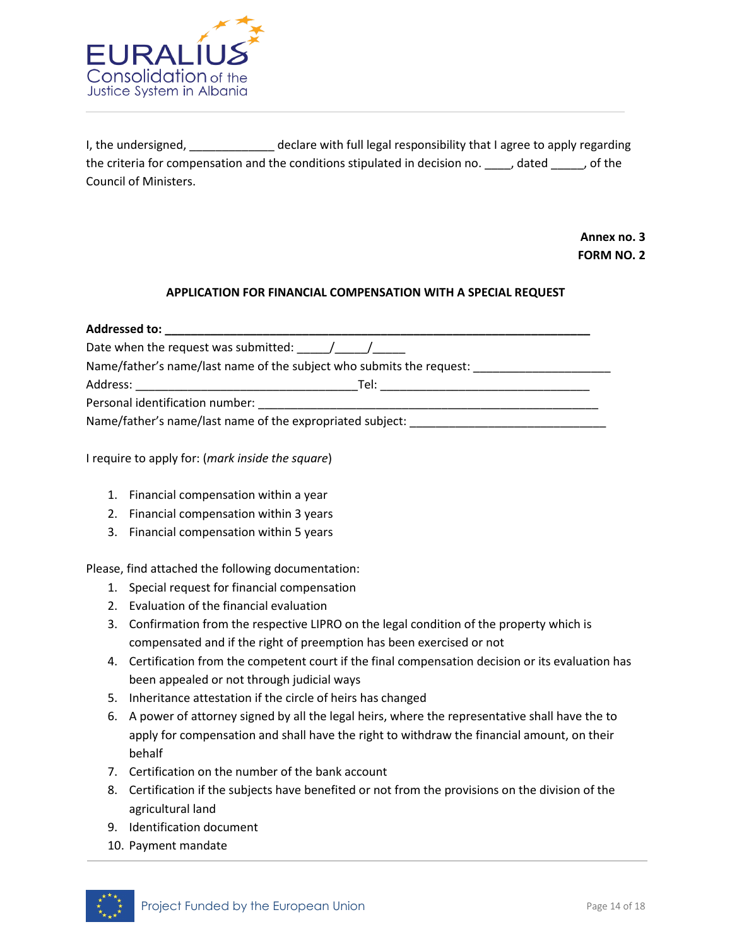

I, the undersigned, The undersigned, and the declare with full legal responsibility that I agree to apply regarding the criteria for compensation and the conditions stipulated in decision no. \_\_\_\_, dated \_\_\_\_\_, of the Council of Ministers.

> **Annex no. 3 FORM NO. 2**

### **APPLICATION FOR FINANCIAL COMPENSATION WITH A SPECIAL REQUEST**

| Addressed to: _________________                                                                                                                                                                                                                                                                                                                                                                   |                                                                                                               |  |  |  |  |  |  |  |
|---------------------------------------------------------------------------------------------------------------------------------------------------------------------------------------------------------------------------------------------------------------------------------------------------------------------------------------------------------------------------------------------------|---------------------------------------------------------------------------------------------------------------|--|--|--|--|--|--|--|
| Date when the request was submitted: $\frac{1}{\sqrt{1-\frac{1}{\sqrt{1-\frac{1}{\sqrt{1-\frac{1}{\sqrt{1-\frac{1}{\sqrt{1-\frac{1}{\sqrt{1-\frac{1}{\sqrt{1-\frac{1}{\sqrt{1-\frac{1}{\sqrt{1-\frac{1}{\sqrt{1-\frac{1}{\sqrt{1-\frac{1}{\sqrt{1-\frac{1}{\sqrt{1-\frac{1}{\sqrt{1-\frac{1}{\sqrt{1-\frac{1}{\sqrt{1-\frac{1}{\sqrt{1-\frac{1}{\sqrt{1-\frac{1}{\sqrt{1-\frac{1}{\sqrt{1-\frac{$ |                                                                                                               |  |  |  |  |  |  |  |
|                                                                                                                                                                                                                                                                                                                                                                                                   | Name/father's name/last name of the subject who submits the request:                                          |  |  |  |  |  |  |  |
|                                                                                                                                                                                                                                                                                                                                                                                                   | Tel: with the contract of the contract of the contract of the contract of the contract of the contract of the |  |  |  |  |  |  |  |
| Personal identification number:                                                                                                                                                                                                                                                                                                                                                                   |                                                                                                               |  |  |  |  |  |  |  |
|                                                                                                                                                                                                                                                                                                                                                                                                   | Name/father's name/last name of the expropriated subject:                                                     |  |  |  |  |  |  |  |

I require to apply for: (*mark inside the square*)

- 1. Financial compensation within a year
- 2. Financial compensation within 3 years
- 3. Financial compensation within 5 years

Please, find attached the following documentation:

- 1. Special request for financial compensation
- 2. Evaluation of the financial evaluation
- 3. Confirmation from the respective LIPRO on the legal condition of the property which is compensated and if the right of preemption has been exercised or not
- 4. Certification from the competent court if the final compensation decision or its evaluation has been appealed or not through judicial ways
- 5. Inheritance attestation if the circle of heirs has changed
- 6. A power of attorney signed by all the legal heirs, where the representative shall have the to apply for compensation and shall have the right to withdraw the financial amount, on their behalf
- 7. Certification on the number of the bank account
- 8. Certification if the subjects have benefited or not from the provisions on the division of the agricultural land
- 9. Identification document
- 10. Payment mandate

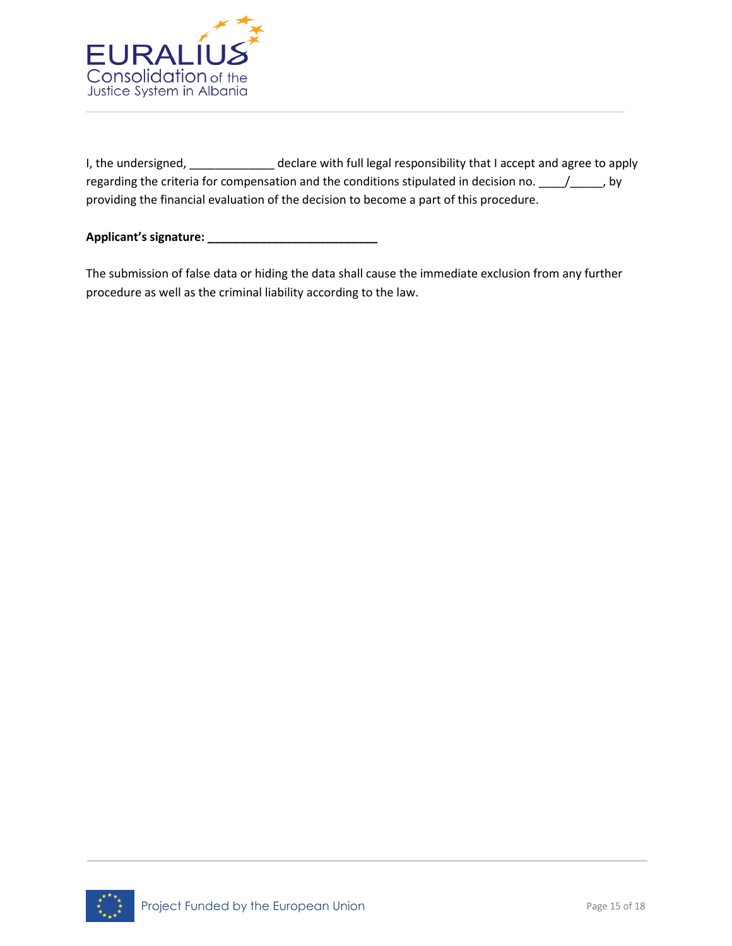

I, the undersigned, \_\_\_\_\_\_\_\_\_\_\_\_\_\_ declare with full legal responsibility that I accept and agree to apply regarding the criteria for compensation and the conditions stipulated in decision no. \_\_\_\_\_/\_\_\_\_\_, by providing the financial evaluation of the decision to become a part of this procedure.

**Applicant's signature: \_\_\_\_\_\_\_\_\_\_\_\_\_\_\_\_\_\_\_\_\_\_\_\_\_\_**

The submission of false data or hiding the data shall cause the immediate exclusion from any further procedure as well as the criminal liability according to the law.

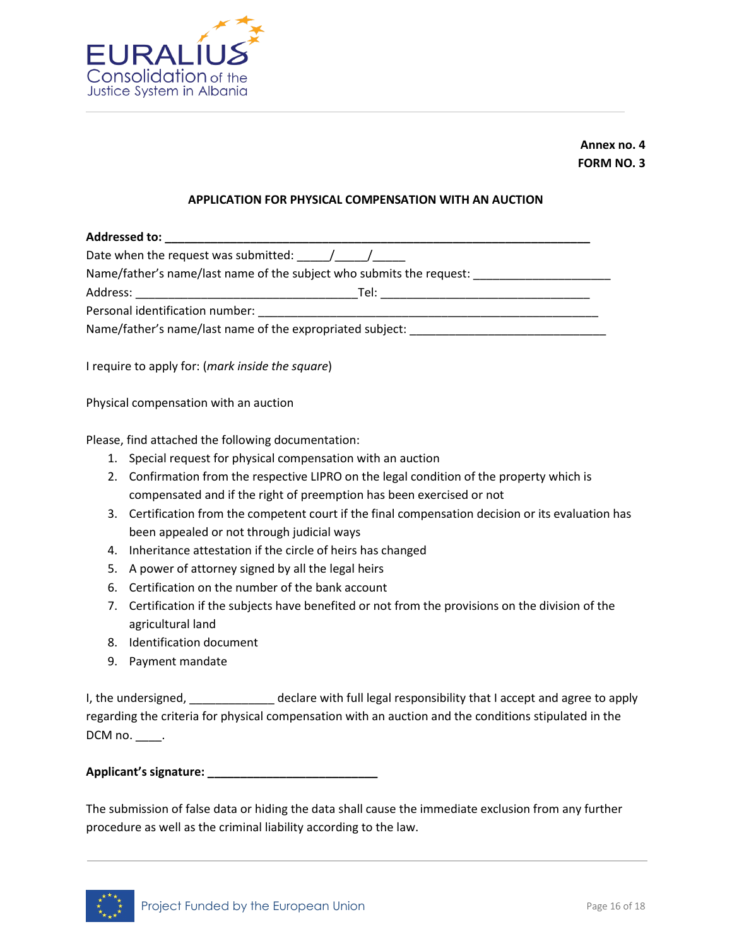

**Annex no. 4 FORM NO. 3**

#### **APPLICATION FOR PHYSICAL COMPENSATION WITH AN AUCTION**

| Addressed to: _________________                                      |  |
|----------------------------------------------------------------------|--|
| Date when the request was submitted: $\sqrt{2\pi}$                   |  |
| Name/father's name/last name of the subject who submits the request: |  |
|                                                                      |  |
|                                                                      |  |
| Name/father's name/last name of the expropriated subject:            |  |

I require to apply for: (*mark inside the square*)

Physical compensation with an auction

Please, find attached the following documentation:

- 1. Special request for physical compensation with an auction
- 2. Confirmation from the respective LIPRO on the legal condition of the property which is compensated and if the right of preemption has been exercised or not
- 3. Certification from the competent court if the final compensation decision or its evaluation has been appealed or not through judicial ways
- 4. Inheritance attestation if the circle of heirs has changed
- 5. A power of attorney signed by all the legal heirs
- 6. Certification on the number of the bank account
- 7. Certification if the subjects have benefited or not from the provisions on the division of the agricultural land
- 8. Identification document
- 9. Payment mandate

I, the undersigned, \_\_\_\_\_\_\_\_\_\_\_\_\_\_\_ declare with full legal responsibility that I accept and agree to apply regarding the criteria for physical compensation with an auction and the conditions stipulated in the DCM no. \_\_\_\_\_.

**Applicant's signature: \_\_\_\_\_\_\_\_\_\_\_\_\_\_\_\_\_\_\_\_\_\_\_\_\_\_**

The submission of false data or hiding the data shall cause the immediate exclusion from any further procedure as well as the criminal liability according to the law.

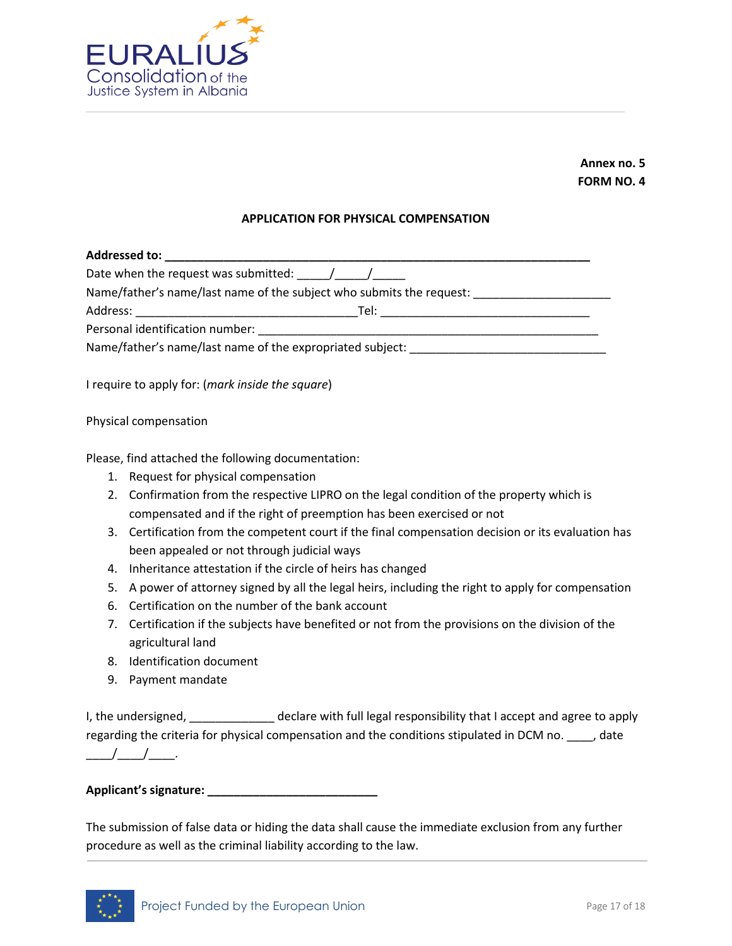

**Annex no. 5 FORM NO. 4**

#### **APPLICATION FOR PHYSICAL COMPENSATION**

| Addressed to: Analyzing the state of the state of the state of the state of the state of the state of the state of the state of the state of the state of the state of the state of the state of the state of the state of the                                                                                                                                                                    |                                                                      |  |  |  |  |  |  |
|---------------------------------------------------------------------------------------------------------------------------------------------------------------------------------------------------------------------------------------------------------------------------------------------------------------------------------------------------------------------------------------------------|----------------------------------------------------------------------|--|--|--|--|--|--|
| Date when the request was submitted: $\frac{1}{\sqrt{1-\frac{1}{\sqrt{1-\frac{1}{\sqrt{1-\frac{1}{\sqrt{1-\frac{1}{\sqrt{1-\frac{1}{\sqrt{1-\frac{1}{\sqrt{1-\frac{1}{\sqrt{1-\frac{1}{\sqrt{1-\frac{1}{\sqrt{1-\frac{1}{\sqrt{1-\frac{1}{\sqrt{1-\frac{1}{\sqrt{1-\frac{1}{\sqrt{1-\frac{1}{\sqrt{1-\frac{1}{\sqrt{1-\frac{1}{\sqrt{1-\frac{1}{\sqrt{1-\frac{1}{\sqrt{1-\frac{1}{\sqrt{1-\frac{$ |                                                                      |  |  |  |  |  |  |
|                                                                                                                                                                                                                                                                                                                                                                                                   | Name/father's name/last name of the subject who submits the request: |  |  |  |  |  |  |
| Address:                                                                                                                                                                                                                                                                                                                                                                                          | Tel:                                                                 |  |  |  |  |  |  |
| Personal identification number:                                                                                                                                                                                                                                                                                                                                                                   |                                                                      |  |  |  |  |  |  |
| Name/father's name/last name of the expropriated subject:                                                                                                                                                                                                                                                                                                                                         |                                                                      |  |  |  |  |  |  |

I require to apply for: (*mark inside the square*)

Physical compensation

Please, find attached the following documentation:

- 1. Request for physical compensation
- 2. Confirmation from the respective LIPRO on the legal condition of the property which is compensated and if the right of preemption has been exercised or not
- 3. Certification from the competent court if the final compensation decision or its evaluation has been appealed or not through judicial ways
- 4. Inheritance attestation if the circle of heirs has changed
- 5. A power of attorney signed by all the legal heirs, including the right to apply for compensation
- 6. Certification on the number of the bank account
- 7. Certification if the subjects have benefited or not from the provisions on the division of the agricultural land
- 8. Identification document
- 9. Payment mandate

I, the undersigned, \_\_\_\_\_\_\_\_\_\_\_\_\_\_ declare with full legal responsibility that I accept and agree to apply regarding the criteria for physical compensation and the conditions stipulated in DCM no. \_\_\_\_, date \_\_*\_\_\_\_\_\_\_\_\_\_\_\_*.

**Applicant's signature: \_\_\_\_\_\_\_\_\_\_\_\_\_\_\_\_\_\_\_\_\_\_\_\_\_\_**

The submission of false data or hiding the data shall cause the immediate exclusion from any further procedure as well as the criminal liability according to the law.